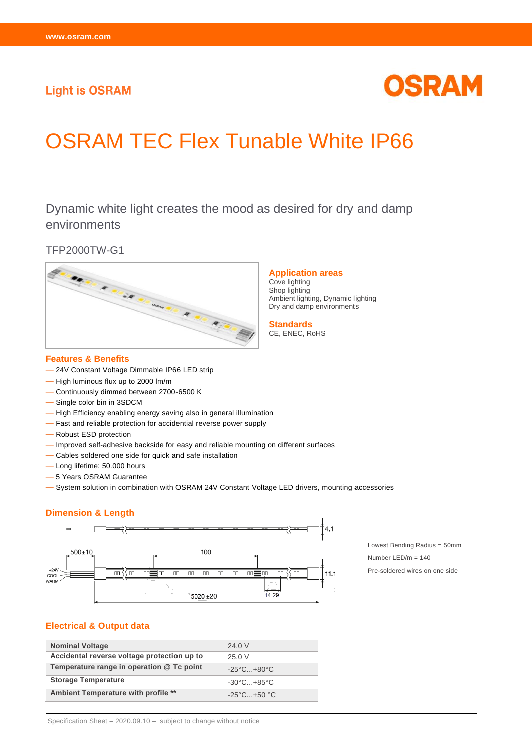# **Light is OSRAM**

# OSRAM

# OSRAM TEC Flex Tunable White IP66

Dynamic white light creates the mood as desired for dry and damp environments

TFP2000TW-G1



#### **Features & Benefits**

- 24V Constant Voltage Dimmable IP66 LED strip
- High luminous flux up to 2000 lm/m
- Continuously dimmed between 2700-6500 K
- Single color bin in 3SDCM
- High Efficiency enabling energy saving also in general illumination
- Fast and reliable protection for accidential reverse power supply
- Robust ESD protection
- Improved self-adhesive backside for easy and reliable mounting on different surfaces
- Cables soldered one side for quick and safe installation
- Long lifetime: 50.000 hours
- 5 Years OSRAM Guarantee
- System solution in combination with OSRAM 24V Constant Voltage LED drivers, mounting accessories

## **Dimension & Length**



#### **Electrical & Output data**

| <b>Nominal Voltage</b>                      | 24.0 V                          |
|---------------------------------------------|---------------------------------|
| Accidental reverse voltage protection up to | 25.0 V                          |
| Temperature range in operation @ Tc point   | $-25^{\circ}$ C+80 $^{\circ}$ C |
| <b>Storage Temperature</b>                  | $-30^{\circ}$ C $+85^{\circ}$ C |
| Ambient Temperature with profile **         | $-25^{\circ}$ C+50 °C           |

#### **Application areas**

Cove lighting Shop lighting Ambient lighting, Dynamic lighting Dry and damp environments

**Standards** CE, ENEC, RoHS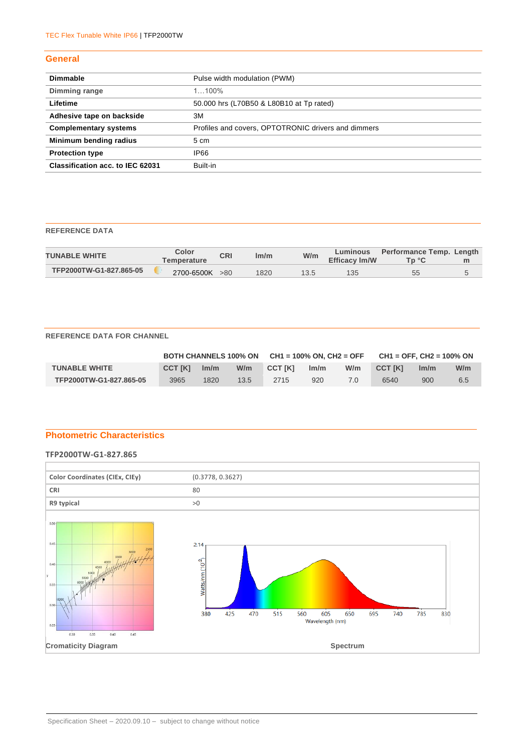#### **General**

| <b>Dimmable</b>                         | Pulse width modulation (PWM)                        |
|-----------------------------------------|-----------------------------------------------------|
| Dimming range                           | $1100\%$                                            |
| Lifetime                                | 50.000 hrs (L70B50 & L80B10 at Tp rated)            |
| Adhesive tape on backside               | 3M                                                  |
| <b>Complementary systems</b>            | Profiles and covers, OPTOTRONIC drivers and dimmers |
| Minimum bending radius                  | 5 cm                                                |
| <b>Protection type</b>                  | <b>IP66</b>                                         |
| <b>Classification acc. to IEC 62031</b> | Built-in                                            |

## **REFERENCE DATA**

| <b>TUNABLE WHITE</b>    | Color<br>Temperature | <b>CRI</b> | lm/m | W/m  | Luminous<br><b>Efficacy Im/W</b> | Performance Temp. Length<br>Tn °C | m |
|-------------------------|----------------------|------------|------|------|----------------------------------|-----------------------------------|---|
| TFP2000TW-G1-827.865-05 | 2700-6500K >80       |            | 1820 | 13.5 | 135                              | 55                                |   |

#### **REFERENCE DATA FOR CHANNEL**

|                         |                |      |      | BOTH CHANNELS 100% ON $CH1 = 100%$ ON, CH2 = OFF |      |     | $CH1 = OFF. CH2 = 100\%$ ON |      |     |
|-------------------------|----------------|------|------|--------------------------------------------------|------|-----|-----------------------------|------|-----|
| <b>TUNABLE WHITE</b>    | <b>CCT IKI</b> | Im/m | W/m  | <b>CCT IKI</b>                                   | Im/m | W/m | <b>CCT IKI</b>              | Im/m | W/m |
| TFP2000TW-G1-827.865-05 | 3965           | 1820 | 13.5 | 2715                                             | 920  |     | 6540                        | 900  | 6.5 |

# **Photometric Characteristics**

#### **TFP2000TW-G1-827.865**

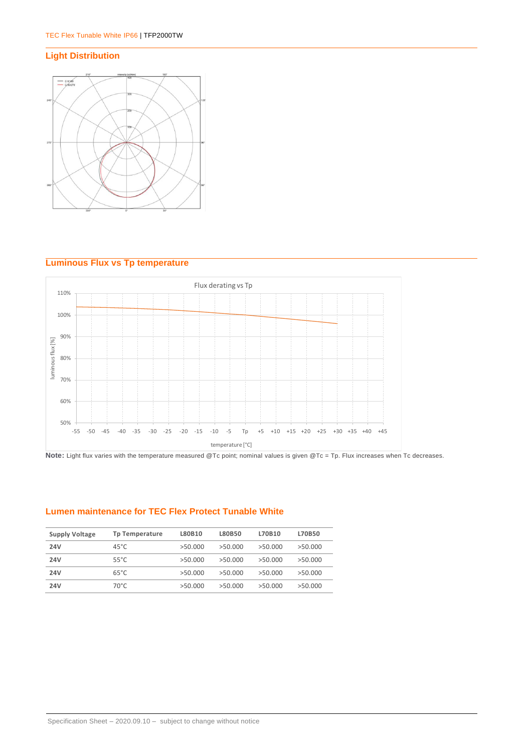# **Light Distribution**



# **Luminous Flux vs Tp temperature**



Note: Light flux varies with the temperature measured @Tc point; nominal values is given @Tc = Tp. Flux increases when Tc decreases.

# **Lumen maintenance for TEC Flex Protect Tunable White**

| <b>Supply Voltage</b> | Tp Temperature | L80B10  | L80B50  | L70B10  | L70B50  |
|-----------------------|----------------|---------|---------|---------|---------|
| 24V                   | $45^{\circ}$ C | >50.000 | >50.000 | >50.000 | >50.000 |
| 24V                   | 55°C           | >50.000 | >50.000 | >50.000 | >50.000 |
| <b>24V</b>            | $65^{\circ}$ C | >50.000 | >50.000 | >50.000 | >50.000 |
| 24V                   | 70°C.          | >50.000 | >50.000 | >50.000 | >50.000 |
|                       |                |         |         |         |         |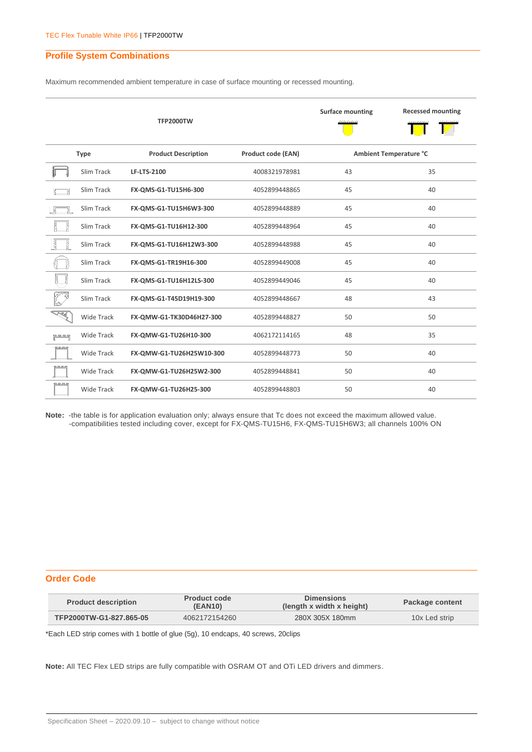#### **Profile System Combinations**

Maximum recommended ambient temperature in case of surface mounting or recessed mounting.

|                  |                                                                        | <b>TFP2000TW</b>         |               | <b>Surface mounting</b> | <b>Recessed mounting</b> |
|------------------|------------------------------------------------------------------------|--------------------------|---------------|-------------------------|--------------------------|
|                  | <b>Product Description</b><br><b>Product code (EAN)</b><br><b>Type</b> |                          |               |                         | Ambient Temperature °C   |
|                  | Slim Track                                                             | <b>LF-LTS-2100</b>       | 4008321978981 | 43                      | 35                       |
|                  | Slim Track                                                             | FX-QMS-G1-TU15H6-300     | 4052899448865 | 45                      | 40                       |
|                  | Slim Track                                                             | FX-QMS-G1-TU15H6W3-300   | 4052899448889 | 45                      | 40                       |
|                  | Slim Track                                                             | FX-QMS-G1-TU16H12-300    | 4052899448964 | 45                      | 40                       |
| 틚                | Slim Track                                                             | FX-QMS-G1-TU16H12W3-300  | 4052899448988 | 45                      | 40                       |
|                  | Slim Track                                                             | FX-QMS-G1-TR19H16-300    | 4052899449008 | 45                      | 40                       |
| ť                | Slim Track                                                             | FX-QMS-G1-TU16H12LS-300  | 4052899449046 | 45                      | 40                       |
|                  | Slim Track                                                             | FX-OMS-G1-T45D19H19-300  | 4052899448667 | 48                      | 43                       |
| TÉ L             | <b>Wide Track</b>                                                      | FX-QMW-G1-TK30D46H27-300 | 4052899448827 | 50                      | 50                       |
| ہے ہے ہے<br>ا    | <b>Wide Track</b>                                                      | FX-QMW-G1-TU26H10-300    | 4062172114165 | 48                      | 35                       |
| <b>RESERVE</b>   | Wide Track                                                             | FX-QMW-G1-TU26H25W10-300 | 4052899448773 | 50                      | 40                       |
|                  | <b>Wide Track</b>                                                      | FX-QMW-G1-TU26H25W2-300  | 4052899448841 | 50                      | 40                       |
| <u>e se se s</u> | <b>Wide Track</b>                                                      | FX-QMW-G1-TU26H25-300    | 4052899448803 | 50                      | 40                       |

**Note:** -the table is for application evaluation only; always ensure that Tc does not exceed the maximum allowed value. -compatibilities tested including cover, except for FX-QMS-TU15H6, FX-QMS-TU15H6W3; all channels 100% ON

#### **Order Code**

| <b>Product code</b><br><b>Product description</b><br><b>(EAN10)</b> |               | <b>Dimensions</b><br>(length x width x height) | Package content |  |
|---------------------------------------------------------------------|---------------|------------------------------------------------|-----------------|--|
| TFP2000TW-G1-827.865-05                                             | 4062172154260 | 280X 305X 180mm                                | 10x Led strip   |  |

\*Each LED strip comes with 1 bottle of glue (5g), 10 endcaps, 40 screws, 20clips

**Note:** All TEC Flex LED strips are fully compatible with OSRAM OT and OTi LED drivers and dimmers.